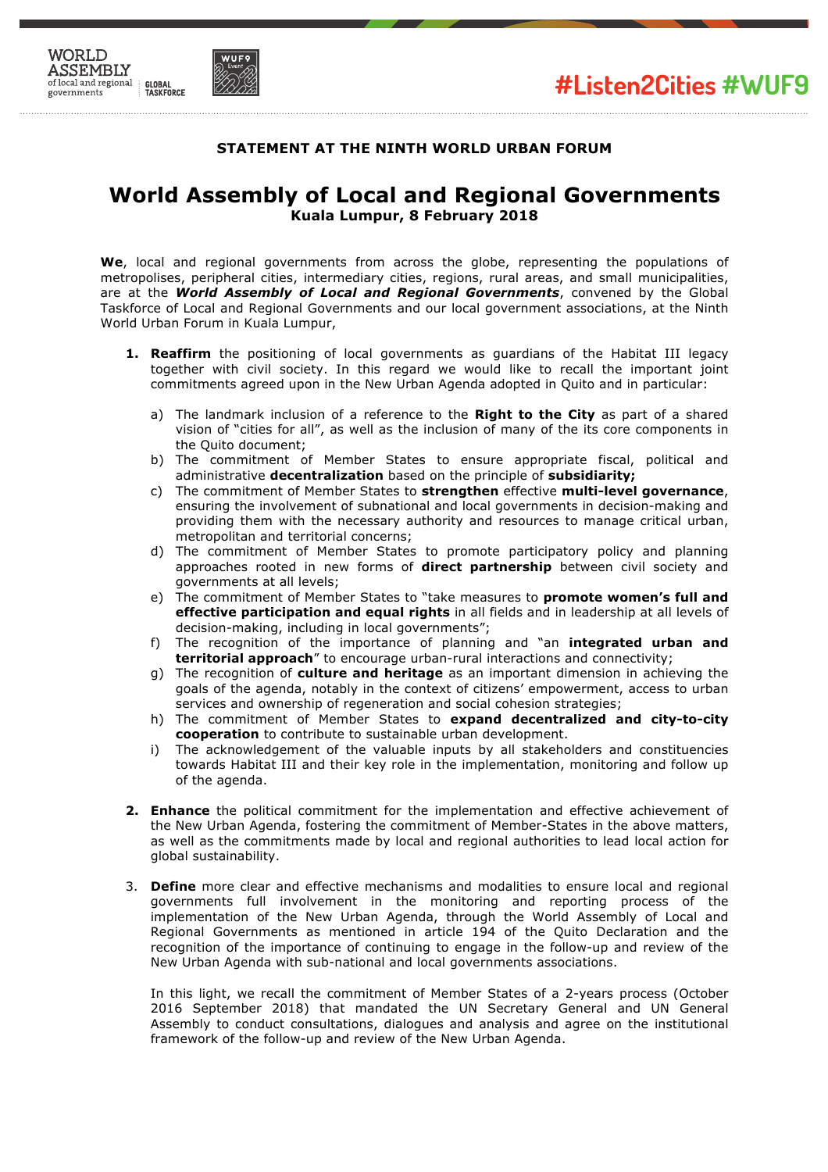



## **STATEMENT AT THE NINTH WORLD URBAN FORUM**

## **World Assembly of Local and Regional Governments Kuala Lumpur, 8 February 2018**

**We**, local and regional governments from across the globe, representing the populations of metropolises, peripheral cities, intermediary cities, regions, rural areas, and small municipalities, are at the *World Assembly of Local and Regional Governments*, convened by the Global Taskforce of Local and Regional Governments and our local government associations, at the Ninth World Urban Forum in Kuala Lumpur,

- **1. Reaffirm** the positioning of local governments as guardians of the Habitat III legacy together with civil society. In this regard we would like to recall the important joint commitments agreed upon in the New Urban Agenda adopted in Quito and in particular:
	- a) The landmark inclusion of a reference to the **Right to the City** as part of a shared vision of "cities for all", as well as the inclusion of many of the its core components in the Quito document;
	- b) The commitment of Member States to ensure appropriate fiscal, political and administrative **decentralization** based on the principle of **subsidiarity;**
	- c) The commitment of Member States to **strengthen** effective **multi-level governance**, ensuring the involvement of subnational and local governments in decision-making and providing them with the necessary authority and resources to manage critical urban, metropolitan and territorial concerns;
	- d) The commitment of Member States to promote participatory policy and planning approaches rooted in new forms of **direct partnership** between civil society and governments at all levels;
	- e) The commitment of Member States to "take measures to **promote women's full and effective participation and equal rights** in all fields and in leadership at all levels of decision-making, including in local governments";
	- f) The recognition of the importance of planning and "an **integrated urban and territorial approach**" to encourage urban-rural interactions and connectivity;
	- g) The recognition of **culture and heritage** as an important dimension in achieving the goals of the agenda, notably in the context of citizens' empowerment, access to urban services and ownership of regeneration and social cohesion strategies;
	- h) The commitment of Member States to **expand decentralized and city-to-city cooperation** to contribute to sustainable urban development.
	- i) The acknowledgement of the valuable inputs by all stakeholders and constituencies towards Habitat III and their key role in the implementation, monitoring and follow up of the agenda.
- **2. Enhance** the political commitment for the implementation and effective achievement of the New Urban Agenda, fostering the commitment of Member-States in the above matters, as well as the commitments made by local and regional authorities to lead local action for global sustainability.
- 3. **Define** more clear and effective mechanisms and modalities to ensure local and regional governments full involvement in the monitoring and reporting process of the implementation of the New Urban Agenda, through the World Assembly of Local and Regional Governments as mentioned in article 194 of the Quito Declaration and the recognition of the importance of continuing to engage in the follow-up and review of the New Urban Agenda with sub-national and local governments associations.

In this light, we recall the commitment of Member States of a 2-years process (October 2016 September 2018) that mandated the UN Secretary General and UN General Assembly to conduct consultations, dialogues and analysis and agree on the institutional framework of the follow-up and review of the New Urban Agenda.